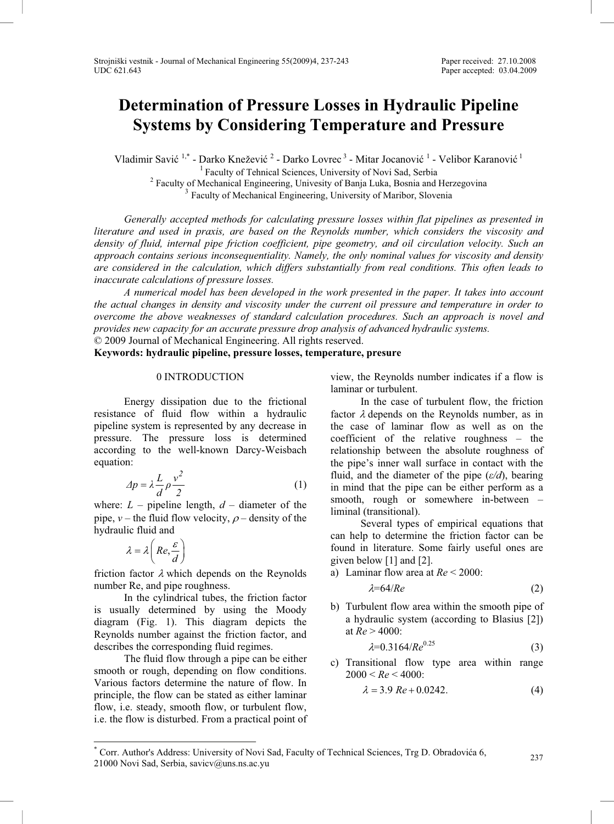# **Determination of Pressure Losses in Hydraulic Pipeline Systems by Considering Temperature and Pressure**

Vladimir Savić<sup>1,\*</sup> - Darko Knežević<sup>2</sup> - Darko Lovrec<sup>3</sup> - Mitar Jocanović<sup>1</sup> - Velibor Karanović<sup>1</sup> <sup>1</sup> Faculty of Tehnical Sciences, University of Novi Sad, Serbia<sup>2</sup> Faculty of Mechanical Engineering, University of Banja Luka, Bosnia and Faculty of Mechanical Engineering, Univesity of Banja Luka, Bosnia and Herzegovina 3 Faculty of Mechanical Engineering, University of Maribor, Slovenia

*Generally accepted methods for calculating pressure losses within flat pipelines as presented in literature and used in praxis, are based on the Reynolds number, which considers the viscosity and density of fluid, internal pipe friction coefficient, pipe geometry, and oil circulation velocity. Such an approach contains serious inconsequentiality. Namely, the only nominal values for viscosity and density are considered in the calculation, which differs substantially from real conditions. This often leads to inaccurate calculations of pressure losses.* 

*A numerical model has been developed in the work presented in the paper. It takes into account the actual changes in density and viscosity under the current oil pressure and temperature in order to overcome the above weaknesses of standard calculation procedures. Such an approach is novel and provides new capacity for an accurate pressure drop analysis of advanced hydraulic systems.* 

© 2009 Journal of Mechanical Engineering. All rights reserved.

# **Keywords: hydraulic pipeline, pressure losses, temperature, presure**

## 0 INTRODUCTION

Energy dissipation due to the frictional resistance of fluid flow within a hydraulic pipeline system is represented by any decrease in pressure. The pressure loss is determined according to the well-known Darcy-Weisbach equation:

$$
\Delta p = \lambda \frac{L}{d} \rho \frac{v^2}{2} \tag{1}
$$

where:  $L$  – pipeline length,  $d$  – diameter of the pipe,  $v$  – the fluid flow velocity,  $\rho$  – density of the hydraulic fluid and

$$
\lambda = \lambda \left( Re, \frac{\varepsilon}{d} \right)
$$

friction factor  $\lambda$  which depends on the Reynolds number Re, and pipe roughness.

In the cylindrical tubes, the friction factor is usually determined by using the Moody diagram (Fig. 1). This diagram depicts the Reynolds number against the friction factor, and describes the corresponding fluid regimes.

The fluid flow through a pipe can be either smooth or rough, depending on flow conditions. Various factors determine the nature of flow. In principle, the flow can be stated as either laminar flow, i.e. steady, smooth flow, or turbulent flow, i.e. the flow is disturbed. From a practical point of view, the Reynolds number indicates if a flow is laminar or turbulent.

In the case of turbulent flow, the friction factor  $\lambda$  depends on the Reynolds number, as in the case of laminar flow as well as on the coefficient of the relative roughness – the relationship between the absolute roughness of the pipe's inner wall surface in contact with the fluid, and the diameter of the pipe  $(\varepsilon/d)$ , bearing in mind that the pipe can be either perform as a smooth, rough or somewhere in-between – liminal (transitional).

Several types of empirical equations that can help to determine the friction factor can be found in literature. Some fairly useful ones are given below [1] and [2].

- a) Laminar flow area at *Re* < 2000:  $\lambda = 64/Re$  (2)
- b) Turbulent flow area within the smooth pipe of a hydraulic system (according to Blasius [2]) at  $Re > 4000$ :

$$
\lambda = 0.3164 \cdot Re^{0.25} \tag{3}
$$

c) Transitional flow type area within range  $2000 < Re < 4000$ :

$$
\lambda = 3.9 \, Re + 0.0242. \tag{4}
$$

<sup>\*</sup> Corr. Author's Address: University of Novi Sad, Faculty of Technical Sciences, Trg D. Obradoviüa 6, 21000 Novi Sad, Serbia, savicy@uns.ns.ac.yu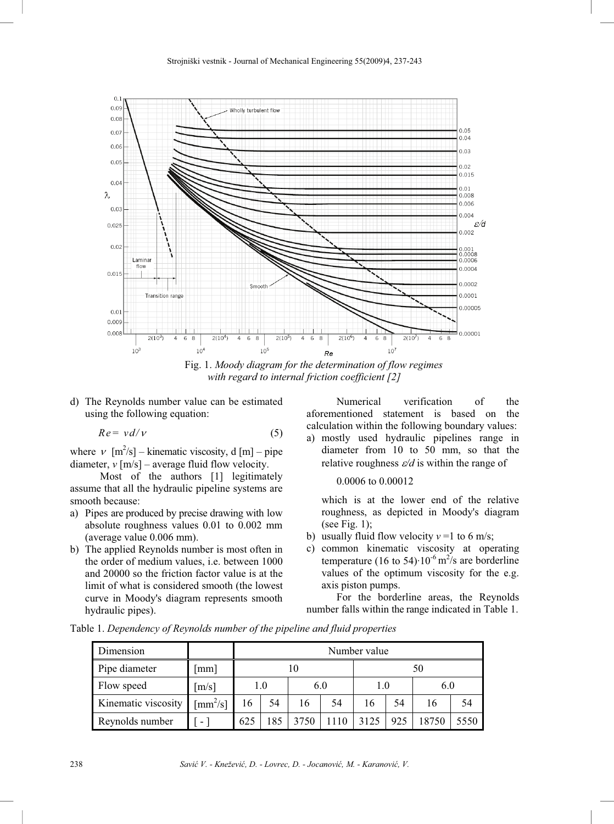

Fig. 1. *Moody diagram for the determination of flow regimes with regard to internal friction coefficient [2]* 

d) The Reynolds number value can be estimated using the following equation:

$$
Re = v d/v \tag{5}
$$

where  $v \, [\text{m}^2/\text{s}]$  – kinematic viscosity, d [m] – pipe diameter,  $v$  [m/s] – average fluid flow velocity.

Most of the authors [1] legitimately assume that all the hydraulic pipeline systems are smooth because:

- a) Pipes are produced by precise drawing with low absolute roughness values 0.01 to 0.002 mm (average value 0.006 mm).
- b) The applied Reynolds number is most often in the order of medium values, i.e. between 1000 and 20000 so the friction factor value is at the limit of what is considered smooth (the lowest curve in Moody's diagram represents smooth hydraulic pipes).

Numerical verification of the aforementioned statement is based on the calculation within the following boundary values:

a) mostly used hydraulic pipelines range in diameter from 10 to 50 mm, so that the relative roughness  $\varepsilon/d$  is within the range of

0.0006 to 0.00012

which is at the lower end of the relative roughness, as depicted in Moody's diagram (see Fig. 1);

- b) usually fluid flow velocity  $v = 1$  to 6 m/s;
- c) common kinematic viscosity at operating temperature (16 to 54) $\cdot$ 10<sup>-6</sup> m<sup>2</sup>/s are borderline values of the optimum viscosity for the e.g. axis piston pumps.

For the borderline areas, the Reynolds number falls within the range indicated in Table 1.

Table 1. *Dependency of Reynolds number of the pipeline and fluid properties* 

| Dimension           |                                     | Number value |     |     |    |      |     |       |      |
|---------------------|-------------------------------------|--------------|-----|-----|----|------|-----|-------|------|
| Pipe diameter       | [mm]                                | 10           |     |     |    | 50   |     |       |      |
| Flow speed          | [m/s]                               | 1.0          |     | 6.0 |    | 1.0  |     | 6.0   |      |
| Kinematic viscosity | $\left[\text{mm}^2/\text{s}\right]$ | 16           | 54  | 16  | 54 | 16   | 54  | 16    | 54   |
| Reynolds number     | $\overline{\phantom{0}}$            | 625          | 185 |     |    | 3125 | 925 | 18750 | 5550 |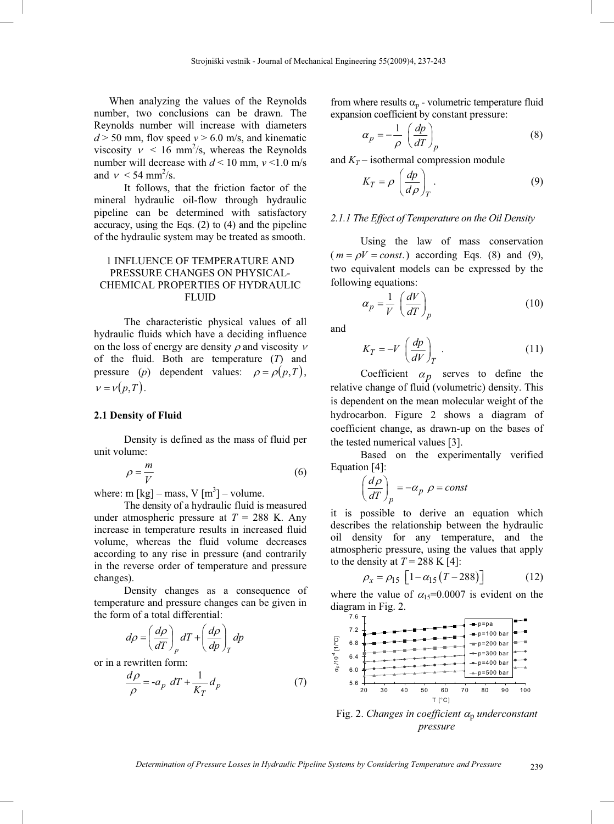When analyzing the values of the Reynolds number, two conclusions can be drawn. The Reynolds number will increase with diameters  $d > 50$  mm, flov speed  $v > 6.0$  m/s, and kinematic viscosity  $v < 16$  mm<sup>2</sup>/s, whereas the Reynolds number will decrease with  $d \le 10$  mm,  $v \le 1.0$  m/s and  $\nu < 54$  mm<sup>2</sup>/s.

It follows, that the friction factor of the mineral hydraulic oil-flow through hydraulic pipeline can be determined with satisfactory accuracy, using the Eqs. (2) to (4) and the pipeline of the hydraulic system may be treated as smooth.

## 1 INFLUENCE OF TEMPERATURE AND PRESSURE CHANGES ON PHYSICAL-CHEMICAL PROPERTIES OF HYDRAULIC FLUID

The characteristic physical values of all hydraulic fluids which have a deciding influence on the loss of energy are density  $\rho$  and viscosity  $\nu$ of the fluid. Both are temperature (*T*) and pressure (*p*) dependent values:  $\rho = \rho(p,T)$ ,  $v = v(p,T)$ .

#### **2.1 Density of Fluid**

Density is defined as the mass of fluid per unit volume:

$$
\rho = \frac{m}{V} \tag{6}
$$

where: m  $[kg]$  – mass, V  $[m^3]$  – volume.

The density of a hydraulic fluid is measured under atmospheric pressure at  $T = 288$  K. Any increase in temperature results in increased fluid volume, whereas the fluid volume decreases according to any rise in pressure (and contrarily in the reverse order of temperature and pressure changes).

Density changes as a consequence of temperature and pressure changes can be given in the form of a total differential:

$$
d\rho = \left(\frac{d\rho}{dT}\right)_p dT + \left(\frac{d\rho}{dp}\right)_T dp
$$

or in a rewritten form:

$$
\frac{d\rho}{\rho} = -a_p \ dT + \frac{1}{K_T} d_p \tag{7}
$$

from where results  $\alpha_p$  - volumetric temperature fluid expansion coefficient by constant pressure:

$$
\alpha_p = -\frac{1}{\rho} \left( \frac{dp}{dT} \right)_p \tag{8}
$$

and  $K_T$  – isothermal compression module

$$
K_T = \rho \left(\frac{dp}{d\rho}\right)_T.
$$
 (9)

## *2.1.1 The Effect of Temperature on the Oil Density*

Using the law of mass conservation  $(m = \rho V = const.)$  according Eqs. (8) and (9), two equivalent models can be expressed by the following equations:

$$
\alpha_p = \frac{1}{V} \left( \frac{dV}{dT} \right)_p \tag{10}
$$

and

$$
K_T = -V \left(\frac{dp}{dV}\right)_T \tag{11}
$$

Coefficient  $\alpha_p$  serves to define the relative change of fluid (volumetric) density. This is dependent on the mean molecular weight of the hydrocarbon. Figure 2 shows a diagram of coefficient change, as drawn-up on the bases of the tested numerical values [3].

Based on the experimentally verified Equation [4]:

$$
\left(\frac{d\rho}{dT}\right)_p = -\alpha_p \ \rho = const
$$

it is possible to derive an equation which describes the relationship between the hydraulic oil density for any temperature, and the atmospheric pressure, using the values that apply to the density at  $T = 288$  K [4]:

$$
\rho_x = \rho_{15} \left[ 1 - \alpha_{15} \left( T - 288 \right) \right] \tag{12}
$$

where the value of  $\alpha_{15}=0.0007$  is evident on the diagram in Fig. 2.



Fig. 2. *Changes in coefficient*  $\alpha_{p}$  *underconstant pressure*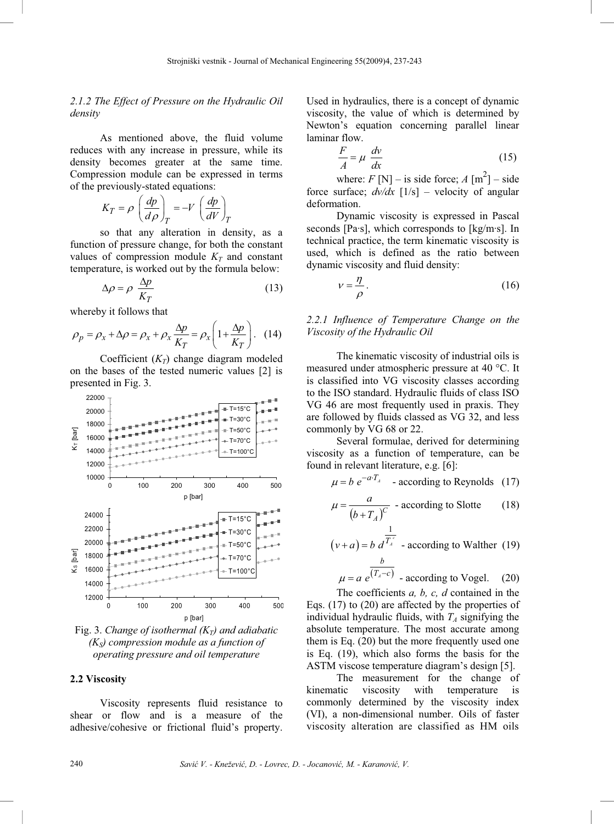# *2.1.2 The Effect of Pressure on the Hydraulic Oil density*

As mentioned above, the fluid volume reduces with any increase in pressure, while its density becomes greater at the same time. Compression module can be expressed in terms of the previously-stated equations:

$$
K_T = \rho \left(\frac{dp}{d\rho}\right)_T = -V \left(\frac{dp}{dV}\right)_T
$$

so that any alteration in density, as a function of pressure change, for both the constant values of compression module  $K_T$  and constant temperature, is worked out by the formula below:

$$
\Delta \rho = \rho \frac{\Delta p}{K_T} \tag{13}
$$

whereby it follows that

$$
\rho_p = \rho_x + \Delta \rho = \rho_x + \rho_x \frac{\Delta p}{K_T} = \rho_x \left( 1 + \frac{\Delta p}{K_T} \right). \quad (14)
$$

Coefficient  $(K_T)$  change diagram modeled on the bases of the tested numeric values [2] is presented in Fig. 3.



Fig. 3. *Change of isothermal*  $(K_T)$  and adiabatic  $(K<sub>S</sub>)$  compression module as a function of *operating pressure and oil temperature* 

#### **2.2 Viscosity**

Viscosity represents fluid resistance to shear or flow and is a measure of the adhesive/cohesive or frictional fluid's property.

Used in hydraulics, there is a concept of dynamic viscosity, the value of which is determined by Newton's equation concerning parallel linear laminar flow.

$$
\frac{F}{A} = \mu \frac{dv}{dx}
$$
 (15)

where:  $F[N]$  – is side force;  $A [m^2]$  – side force surface; *dv/dx* [1/s] – velocity of angular deformation.

Dynamic viscosity is expressed in Pascal seconds [Pa·s], which corresponds to [kg/m·s]. In technical practice, the term kinematic viscosity is used, which is defined as the ratio between dynamic viscosity and fluid density:

$$
v = \frac{\eta}{\rho}.
$$
 (16)

*2.2.1 Influence of Temperature Change on the Viscosity of the Hydraulic Oil* 

The kinematic viscosity of industrial oils is measured under atmospheric pressure at 40 °C. It is classified into VG viscosity classes according to the ISO standard. Hydraulic fluids of class ISO VG 46 are most frequently used in praxis. They are followed by fluids classed as VG 32, and less commonly by VG 68 or 22.

Several formulae, derived for determining viscosity as a function of temperature, can be found in relevant literature, e.g. [6]:

$$
\mu = b e^{-a \cdot T_A} \quad \text{- according to Reynolds} \quad (17)
$$

$$
\mu = \frac{a}{(b + T_A)^C}
$$
 - according to Slotte (18)

$$
(v+a) = b \frac{1}{d^{T_a}} - \text{according to Walther (19)}
$$
  

$$
\frac{b}{(T_a c)}
$$

$$
\mu = a e^{(T_A - c)}
$$
 - according to Vogel. (20)  
The coefficient *a*, *b*, *c*, *d* contained in the

The coefficients *a, b, c, d* contained in the Eqs. (17) to (20) are affected by the properties of individual hydraulic fluids, with  $T_A$  signifying the absolute temperature. The most accurate among them is Eq. (20) but the more frequently used one is Eq. (19), which also forms the basis for the ASTM viscose temperature diagram's design [5].

The measurement for the change of kinematic viscosity with temperature is commonly determined by the viscosity index (VI), a non-dimensional number. Oils of faster viscosity alteration are classified as HM oils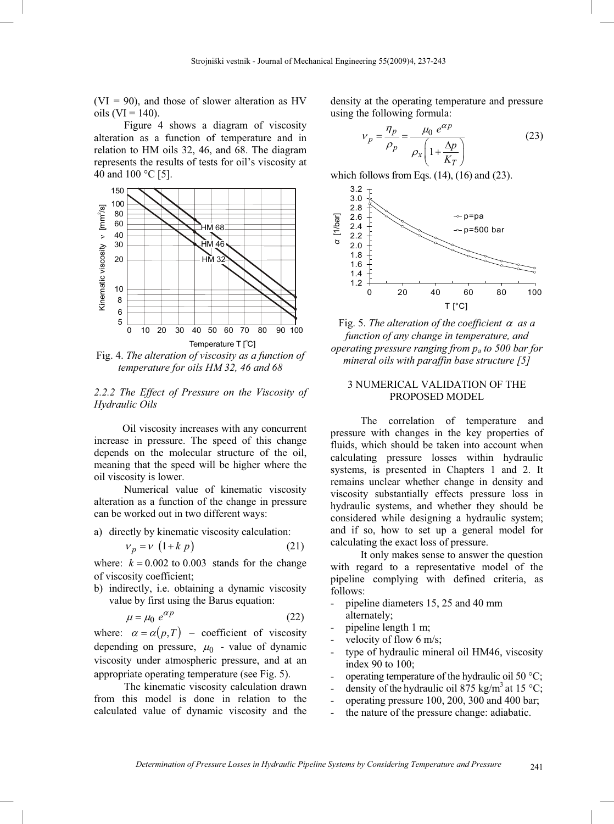$(VI = 90)$ , and those of slower alteration as HV oils ( $VI = 140$ ).

Figure 4 shows a diagram of viscosity alteration as a function of temperature and in relation to HM oils 32, 46, and 68. The diagram represents the results of tests for oil's viscosity at 40 and 100 °C [5].



Fig. 4. *The alteration of viscosity as a function of temperature for oils HM 32, 46 and 68* 

# *2.2.2 The Effect of Pressure on the Viscosity of Hydraulic Oils*

Oil viscosity increases with any concurrent increase in pressure. The speed of this change depends on the molecular structure of the oil, meaning that the speed will be higher where the oil viscosity is lower.

Numerical value of kinematic viscosity alteration as a function of the change in pressure can be worked out in two different ways:

a) directly by kinematic viscosity calculation:

$$
v_p = v \left(1 + k \ p\right) \tag{21}
$$

where:  $k = 0.002$  to 0.003 stands for the change of viscosity coefficient;

b) indirectly, i.e. obtaining a dynamic viscosity value by first using the Barus equation:

$$
\mu = \mu_0 \ e^{\alpha p} \tag{22}
$$

where:  $\alpha = \alpha(p,T)$  – coefficient of viscosity depending on pressure,  $\mu_0$  - value of dynamic viscosity under atmospheric pressure, and at an appropriate operating temperature (see Fig. 5).

The kinematic viscosity calculation drawn from this model is done in relation to the calculated value of dynamic viscosity and the

density at the operating temperature and pressure using the following formula:

$$
v_p = \frac{\eta_p}{\rho_p} = \frac{\mu_0 e^{\alpha p}}{\rho_x \left(1 + \frac{\Delta p}{K_T}\right)}\tag{23}
$$

which follows from Eqs.  $(14)$ ,  $(16)$  and  $(23)$ .



Fig. 5. The alteration of the coefficient  $\alpha$  as a *function of any change in temperature, and operating pressure ranging from pa to 500 bar for mineral oils with paraffin base structure [5]* 

## 3 NUMERICAL VALIDATION OF THE PROPOSED MODEL

The correlation of temperature and pressure with changes in the key properties of fluids, which should be taken into account when calculating pressure losses within hydraulic systems, is presented in Chapters 1 and 2. It remains unclear whether change in density and viscosity substantially effects pressure loss in hydraulic systems, and whether they should be considered while designing a hydraulic system; and if so, how to set up a general model for calculating the exact loss of pressure.

It only makes sense to answer the question with regard to a representative model of the pipeline complying with defined criteria, as follows:

- pipeline diameters 15, 25 and 40 mm alternately;
- pipeline length 1 m;
- velocity of flow 6 m/s;
- type of hydraulic mineral oil HM46, viscosity index 90 to 100;
- operating temperature of the hydraulic oil 50  $\mathrm{^{\circ}C};$
- density of the hydraulic oil 875 kg/m<sup>3</sup> at 15 °C;
- operating pressure 100, 200, 300 and 400 bar;
- the nature of the pressure change: adiabatic.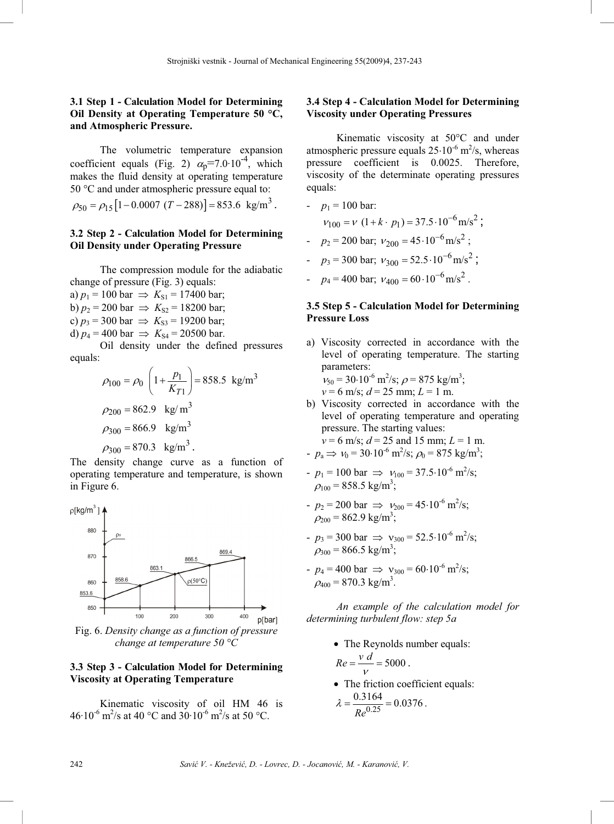# **3.1 Step 1 - Calculation Model for Determining Oil Density at Operating Temperature 50 °C, and Atmospheric Pressure.**

The volumetric temperature expansion coefficient equals (Fig. 2)  $\alpha_0$ =7.0·10<sup>-4</sup>, which makes the fluid density at operating temperature 50 °C and under atmospheric pressure equal to:

$$
\rho_{50} = \rho_{15} [1 - 0.0007 (T - 288)] = 853.6 \text{ kg/m}^3.
$$

#### **3.2 Step 2 - Calculation Model for Determining Oil Density under Operating Pressure**

The compression module for the adiabatic change of pressure (Fig. 3) equals:

a)  $p_1 = 100$  bar  $\implies K_{S1} = 17400$  bar; b)  $p_2 = 200$  bar  $\Rightarrow K_{S2} = 18200$  bar; c)  $p_3 = 300$  bar  $\Rightarrow K_{S3} = 19200$  bar; d)  $p_4 = 400$  bar  $\implies K_{S4} = 20500$  bar.

Oil density under the defined pressures equals:

$$
\rho_{100} = \rho_0 \left( 1 + \frac{p_1}{K_{T1}} \right) = 858.5 \text{ kg/m}^3
$$
  
\n
$$
\rho_{200} = 862.9 \text{ kg/m}^3
$$
  
\n
$$
\rho_{300} = 866.9 \text{ kg/m}^3
$$
  
\n
$$
\rho_{300} = 870.3 \text{ kg/m}^3
$$

The density change curve as a function of operating temperature and temperature, is shown in Figure 6.



Fig. 6. *Density change as a function of pressure change at temperature 50 °C*

### **3.3 Step 3 - Calculation Model for Determining Viscosity at Operating Temperature**

Kinematic viscosity of oil HM 46 is  $46·10^{-6}$  m<sup>2</sup>/s at 40 °C and 30 $·10^{-6}$  m<sup>2</sup>/s at 50 °C.

## **3.4 Step 4 - Calculation Model for Determining Viscosity under Operating Pressures**

Kinematic viscosity at 50°C and under atmospheric pressure equals  $25.10^{-6}$  m<sup>2</sup>/s, whereas pressure coefficient is 0.0025. Therefore, viscosity of the determinate operating pressures equals:

- 
$$
p_1 = 100 \text{ bar}
$$
:  
\n $v_{100} = v (1 + k \cdot p_1) = 37.5 \cdot 10^{-6} \text{ m/s}^2$ ;  
\n-  $p_2 = 200 \text{ bar}$ ;  $v_{200} = 45 \cdot 10^{-6} \text{ m/s}^2$ ;  
\n-  $p_3 = 300 \text{ bar}$ ;  $v_{300} = 52.5 \cdot 10^{-6} \text{ m/s}^2$ ;  
\n-  $p_4 = 400 \text{ bar}$ ;  $v_{400} = 60 \cdot 10^{-6} \text{ m/s}^2$ .

# **3.5 Step 5 - Calculation Model for Determining Pressure Loss**

a) Viscosity corrected in accordance with the level of operating temperature. The starting parameters:

 $v_{50} = 30.10^{-6} \text{ m}^2/\text{s}; \rho = 875 \text{ kg/m}^3;$  $v = 6$  m/s;  $d = 25$  mm;  $L = 1$  m.

b) Viscosity corrected in accordance with the level of operating temperature and operating pressure. The starting values:  $v = 6$  m/s;  $d = 25$  and 15 mm;  $L = 1$  m.

$$
p_a \Rightarrow v_0 = 30.10^{-6} \text{ m}^2/\text{s}; \rho_0 = 875 \text{ kg/m}^3;
$$

- $-p_1 = 100$  bar  $\Rightarrow v_{100} = 37.5 \cdot 10^{-6}$  m<sup>2</sup>/s;  $\rho_{100}$  = 858.5 kg/m<sup>3</sup>;
- $p_2 = 200$  bar  $\Rightarrow v_{200} = 45.10^{-6}$  m<sup>2</sup>/s;  $\rho_{200}$  = 862.9 kg/m<sup>3</sup>;
- $-p_3 = 300$  bar  $\Rightarrow$   $v_{300} = 52.5 \cdot 10^{-6}$  m<sup>2</sup>/s;  $\rho_{300}$  = 866.5 kg/m<sup>3</sup>;
- $p_4 = 400$  bar  $\Rightarrow$   $v_{300} = 60.10^{-6}$  m<sup>2</sup>/s;  $\rho_{400}$  = 870.3 kg/m<sup>3</sup>.

*An example of the calculation model for determining turbulent flow: step 5a* 

- The Reynolds number equals:  $Re = \frac{v \ d}{v} = 5000$ .
- The friction coefficient equals: 0.3164

$$
\lambda = \frac{0.5164}{Re^{0.25}} = 0.0376.
$$